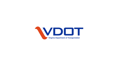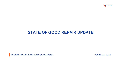

# **STATE OF GOOD REPAIR UPDATE**

Yolanda Newton, Local Assistance Division **August 23, 2018** August 23, 2018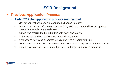# **SGR Background**

- **Previous Application Process**
	- **Until FY17 the application process was manual** 
		- Call for applications began in January and ended in March
		- Determining project information such as CCI, NHS, etc. required looking up data manually from a large spreadsheet
		- A map was required to be submitted with each application
		- Maintenance of Effort Certification required a signature
		- Applications had to be submitted electronically to a SharePoint Site
		- District and Central Office review was more tedious and required a month to review
		- Scoring applications was a manual process and required a month to review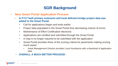# **SGR Background**

- **New Smart Portal Application Process**
	- **In FY17 both primary extension and local deficient bridge project data was added to the Smart Portal**
		- Call for applications began and ends earlier
		- Project data populated in the Smart Portal thus decreasing chance of errors
		- Maintenance of Effort Certification electronic
		- Applications are certified and submitted through the Smart Portal
		- A map is no longer required to be submitted with the application
		- Smart Portal provides three of the scoring criteria for pavements making scoring much easier
			- Asset Management Division provides Local Assistance with a download of application data

#### • **OVERALL A MUCH BETTER PROCESS!**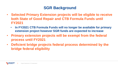# **SGR Background**

- **Selected Primary Extension projects will be eligible to receive both State of Good Repair and CTB Formula Funds until FY2021**
	- **In FY2021 CTB Formula Funds will no longer be available for primary extension project however SGR funds are expected to increase**
- **Primary extension projects will be exempt from the federal process until FY2021**
- **Deficient bridge projects federal process determined by the bridge federal eligibility**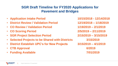### **SGR Draft Timeline for FY2020 Applications for Pavement and Bridges**

- **Application Intake Period 10/15/2018 - 12/14/2018**
- **District Review / Validation Period 12/19/2018 – 1/18/2019**
- **CO Review / Validation Period 1/19/2019 – 2/1/2019**
- **CO Scoring Period 2/5/2019 – 2/11/2019**
- **SGR Project Selection Period 2/15/2019 – 3/15/2019**
- **Selected Projects to be Shared with Districts 3/15/2019**
- **District Establish UPC's for New Projects 3/15/2019 – 4/1/2019**
- **CTB Approval** 6/2019
- **Funding Available 7/01/2019**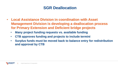# **SGR Deallocation**

- **Local Assistance Division in coordination with Asset Management Division is developing a deallocation process for Primary Extension and Deficient bridge projects**
	- **Many project funding requests vs. available funding**
	- **CTB approves funding and projects to include termini**
	- **Surplus funds must be moved back to balance entry for redistribution and approval by CTB**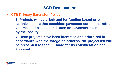# **SGR Deallocation**

• **CTB Primary Extension Policy**

**6. Projects will be prioritized for funding based on a technical score that considers pavement condition, traffic volume, and past expenditures on pavement maintenance by the locality.**

**7. Once projects have been identified and prioritized in accordance with the foregoing process, the project list will be presented to the full Board for its consideration and approval.**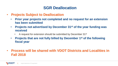# **SGR Deallocation**

- **Projects Subject to Deallocation**
	- **Prior year projects not completed and no request for an extension has been submitted**
	- **Projects not advertised by December 31st of the year funding was received**
		- A request for extension should be submitted by December 31<sup>st</sup>
	- **Projects that are not fully billed by December 1st of the following fiscal year**
- **Process will be shared with VDOT Districts and Localities in Fall 2018**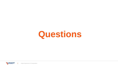